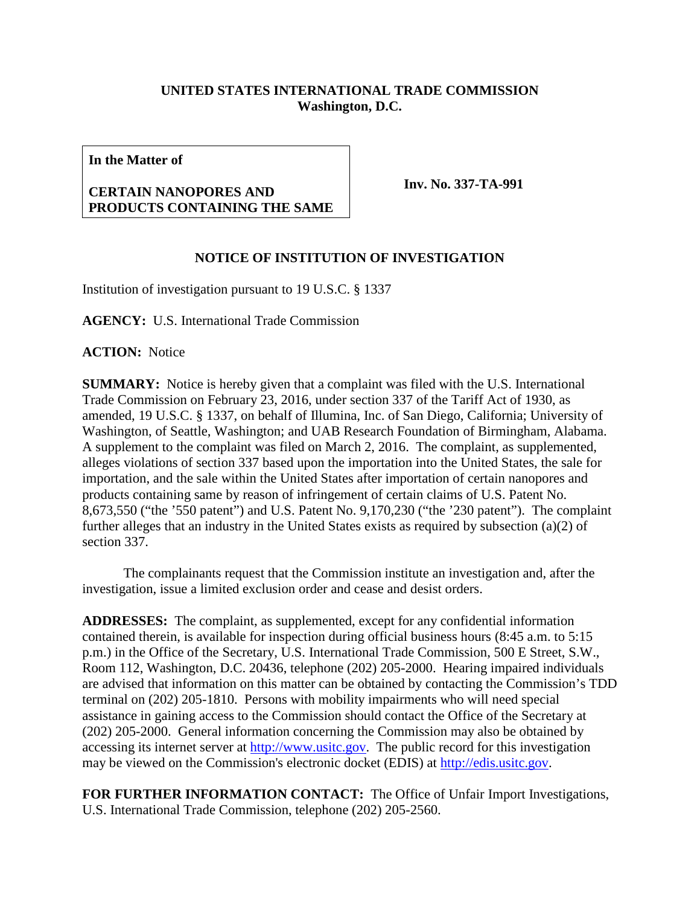## **UNITED STATES INTERNATIONAL TRADE COMMISSION Washington, D.C.**

**In the Matter of**

## **CERTAIN NANOPORES AND PRODUCTS CONTAINING THE SAME**

**Inv. No. 337-TA-991**

## **NOTICE OF INSTITUTION OF INVESTIGATION**

Institution of investigation pursuant to 19 U.S.C. § 1337

**AGENCY:** U.S. International Trade Commission

**ACTION:** Notice

**SUMMARY:** Notice is hereby given that a complaint was filed with the U.S. International Trade Commission on February 23, 2016, under section 337 of the Tariff Act of 1930, as amended, 19 U.S.C. § 1337, on behalf of Illumina, Inc. of San Diego, California; University of Washington, of Seattle, Washington; and UAB Research Foundation of Birmingham, Alabama. A supplement to the complaint was filed on March 2, 2016. The complaint, as supplemented, alleges violations of section 337 based upon the importation into the United States, the sale for importation, and the sale within the United States after importation of certain nanopores and products containing same by reason of infringement of certain claims of U.S. Patent No. 8,673,550 ("the '550 patent") and U.S. Patent No. 9,170,230 ("the '230 patent"). The complaint further alleges that an industry in the United States exists as required by subsection (a)(2) of section 337.

The complainants request that the Commission institute an investigation and, after the investigation, issue a limited exclusion order and cease and desist orders.

**ADDRESSES:** The complaint, as supplemented, except for any confidential information contained therein, is available for inspection during official business hours (8:45 a.m. to 5:15 p.m.) in the Office of the Secretary, U.S. International Trade Commission, 500 E Street, S.W., Room 112, Washington, D.C. 20436, telephone (202) 205-2000. Hearing impaired individuals are advised that information on this matter can be obtained by contacting the Commission's TDD terminal on (202) 205-1810. Persons with mobility impairments who will need special assistance in gaining access to the Commission should contact the Office of the Secretary at (202) 205-2000. General information concerning the Commission may also be obtained by accessing its internet server at [http://www.usitc.gov.](http://www.usitc.gov/) The public record for this investigation may be viewed on the Commission's electronic docket (EDIS) at [http://edis.usitc.gov.](http://edis.usitc.gov/)

**FOR FURTHER INFORMATION CONTACT:** The Office of Unfair Import Investigations, U.S. International Trade Commission, telephone (202) 205-2560.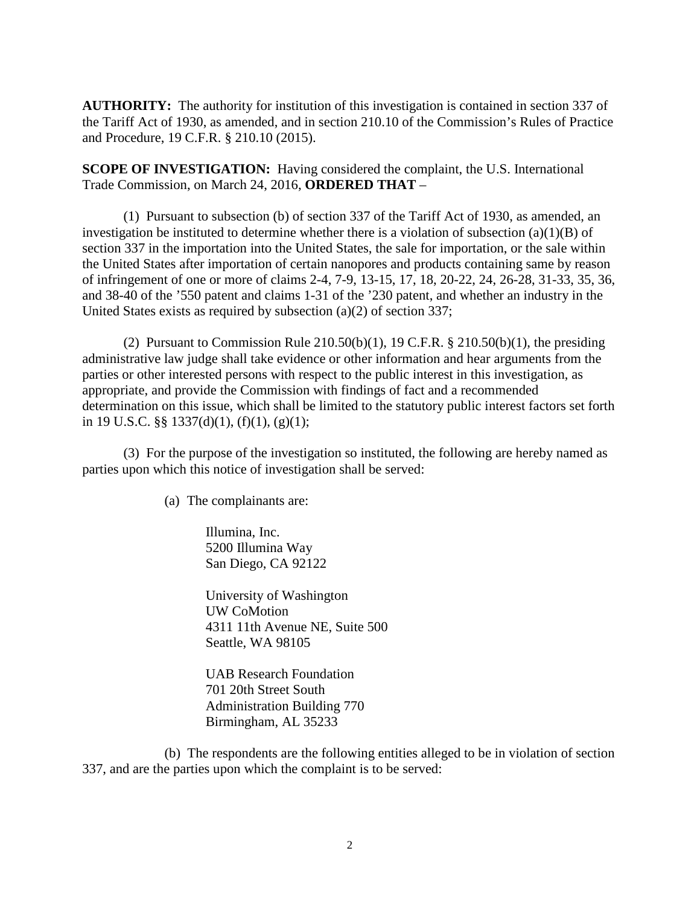**AUTHORITY:** The authority for institution of this investigation is contained in section 337 of the Tariff Act of 1930, as amended, and in section 210.10 of the Commission's Rules of Practice and Procedure, 19 C.F.R. § 210.10 (2015).

**SCOPE OF INVESTIGATION:** Having considered the complaint, the U.S. International Trade Commission, on March 24, 2016, **ORDERED THAT** –

(1) Pursuant to subsection (b) of section 337 of the Tariff Act of 1930, as amended, an investigation be instituted to determine whether there is a violation of subsection (a)(1)(B) of section 337 in the importation into the United States, the sale for importation, or the sale within the United States after importation of certain nanopores and products containing same by reason of infringement of one or more of claims 2-4, 7-9, 13-15, 17, 18, 20-22, 24, 26-28, 31-33, 35, 36, and 38-40 of the '550 patent and claims 1-31 of the '230 patent, and whether an industry in the United States exists as required by subsection (a)(2) of section 337;

(2) Pursuant to Commission Rule  $210.50(b)(1)$ , 19 C.F.R. §  $210.50(b)(1)$ , the presiding administrative law judge shall take evidence or other information and hear arguments from the parties or other interested persons with respect to the public interest in this investigation, as appropriate, and provide the Commission with findings of fact and a recommended determination on this issue, which shall be limited to the statutory public interest factors set forth in 19 U.S.C. §§ 1337(d)(1), (f)(1), (g)(1);

(3) For the purpose of the investigation so instituted, the following are hereby named as parties upon which this notice of investigation shall be served:

(a) The complainants are:

Illumina, Inc. 5200 Illumina Way San Diego, CA 92122

University of Washington UW CoMotion 4311 11th Avenue NE, Suite 500 Seattle, WA 98105

UAB Research Foundation 701 20th Street South Administration Building 770 Birmingham, AL 35233

(b) The respondents are the following entities alleged to be in violation of section 337, and are the parties upon which the complaint is to be served: